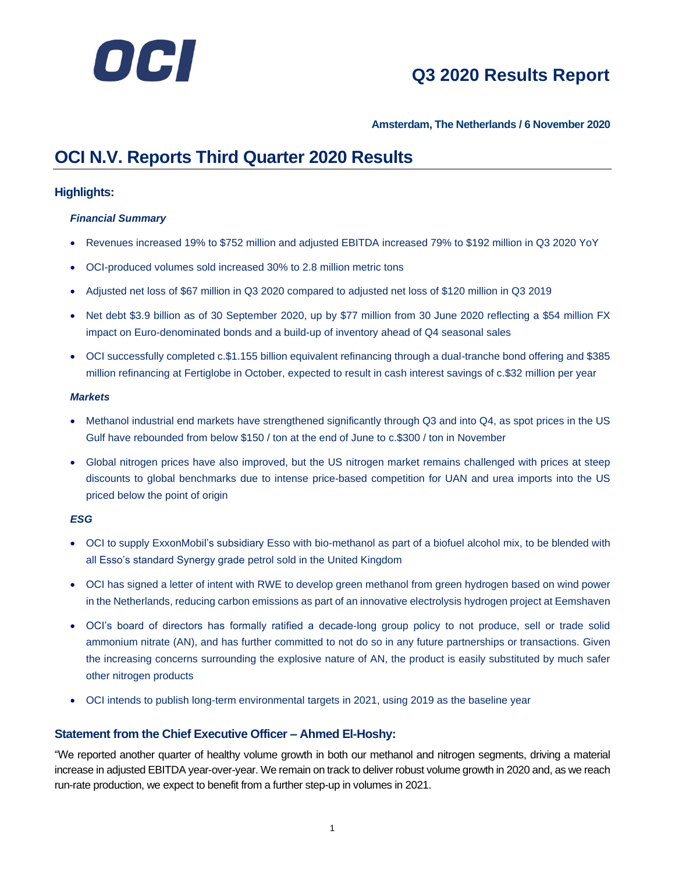

### **Amsterdam, The Netherlands / 6 November 2020**

### **OCI N.V. Reports Third Quarter 2020 Results**

### **Highlights:**

### *Financial Summary*

- Revenues increased 19% to \$752 million and adjusted EBITDA increased 79% to \$192 million in Q3 2020 YoY
- OCI-produced volumes sold increased 30% to 2.8 million metric tons
- Adjusted net loss of \$67 million in Q3 2020 compared to adjusted net loss of \$120 million in Q3 2019
- Net debt \$3.9 billion as of 30 September 2020, up by \$77 million from 30 June 2020 reflecting a \$54 million FX impact on Euro-denominated bonds and a build-up of inventory ahead of Q4 seasonal sales
- OCI successfully completed c.\$1.155 billion equivalent refinancing through a dual-tranche bond offering and \$385 million refinancing at Fertiglobe in October, expected to result in cash interest savings of c.\$32 million per year

### *Markets*

- Methanol industrial end markets have strengthened significantly through Q3 and into Q4, as spot prices in the US Gulf have rebounded from below \$150 / ton at the end of June to c.\$300 / ton in November
- Global nitrogen prices have also improved, but the US nitrogen market remains challenged with prices at steep discounts to global benchmarks due to intense price-based competition for UAN and urea imports into the US priced below the point of origin

### *ESG*

- OCI to supply ExxonMobil's subsidiary Esso with bio-methanol as part of a biofuel alcohol mix, to be blended with all Esso's standard Synergy grade petrol sold in the United Kingdom
- OCI has signed a letter of intent with RWE to develop green methanol from green hydrogen based on wind power in the Netherlands, reducing carbon emissions as part of an innovative electrolysis hydrogen project at Eemshaven
- OCI's board of directors has formally ratified a decade-long group policy to not produce, sell or trade solid ammonium nitrate (AN), and has further committed to not do so in any future partnerships or transactions. Given the increasing concerns surrounding the explosive nature of AN, the product is easily substituted by much safer other nitrogen products
- OCI intends to publish long-term environmental targets in 2021, using 2019 as the baseline year

### **Statement from the Chief Executive Officer – Ahmed El-Hoshy:**

"We reported another quarter of healthy volume growth in both our methanol and nitrogen segments, driving a material increase in adjusted EBITDA year-over-year. We remain on track to deliver robust volume growth in 2020 and, as we reach run-rate production, we expect to benefit from a further step-up in volumes in 2021.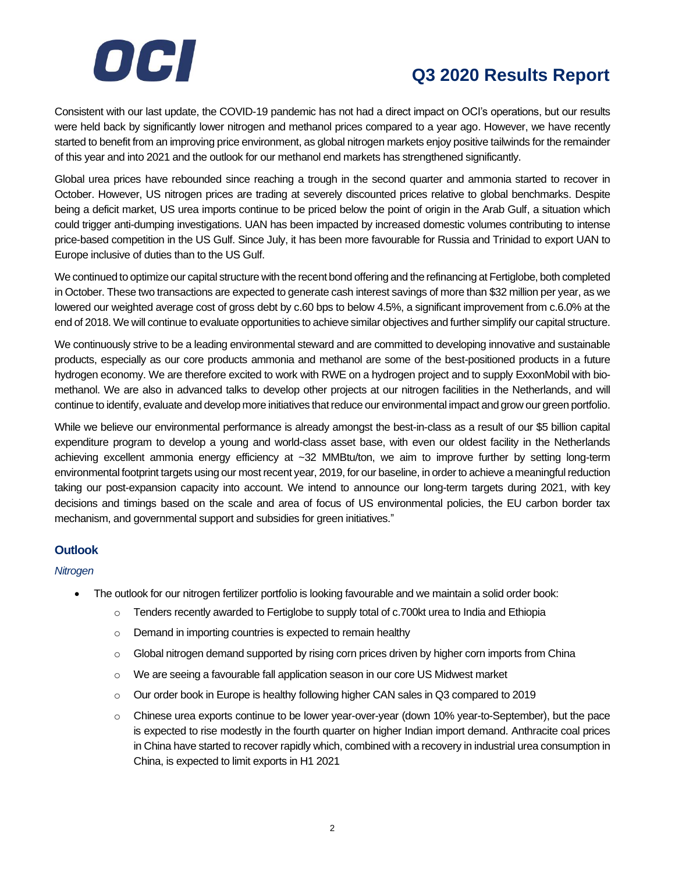

Consistent with our last update, the COVID-19 pandemic has not had a direct impact on OCI's operations, but our results were held back by significantly lower nitrogen and methanol prices compared to a year ago. However, we have recently started to benefit from an improving price environment, as global nitrogen markets enjoy positive tailwinds for the remainder of this year and into 2021 and the outlook for our methanol end markets has strengthened significantly.

Global urea prices have rebounded since reaching a trough in the second quarter and ammonia started to recover in October. However, US nitrogen prices are trading at severely discounted prices relative to global benchmarks. Despite being a deficit market, US urea imports continue to be priced below the point of origin in the Arab Gulf, a situation which could trigger anti-dumping investigations. UAN has been impacted by increased domestic volumes contributing to intense price-based competition in the US Gulf. Since July, it has been more favourable for Russia and Trinidad to export UAN to Europe inclusive of duties than to the US Gulf.

We continued to optimize our capital structure with the recent bond offering and the refinancing at Fertiglobe, both completed in October. These two transactions are expected to generate cash interest savings of more than \$32 million per year, as we lowered our weighted average cost of gross debt by c.60 bps to below 4.5%, a significant improvement from c.6.0% at the end of 2018. We will continue to evaluate opportunities to achieve similar objectives and further simplify our capital structure.

We continuously strive to be a leading environmental steward and are committed to developing innovative and sustainable products, especially as our core products ammonia and methanol are some of the best-positioned products in a future hydrogen economy. We are therefore excited to work with RWE on a hydrogen project and to supply ExxonMobil with biomethanol. We are also in advanced talks to develop other projects at our nitrogen facilities in the Netherlands, and will continue to identify, evaluate and develop more initiatives that reduce our environmental impact and grow our green portfolio.

While we believe our environmental performance is already amongst the best-in-class as a result of our \$5 billion capital expenditure program to develop a young and world-class asset base, with even our oldest facility in the Netherlands achieving excellent ammonia energy efficiency at ~32 MMBtu/ton, we aim to improve further by setting long-term environmental footprint targets using our most recent year, 2019, for our baseline, in order to achieve a meaningful reduction taking our post-expansion capacity into account. We intend to announce our long-term targets during 2021, with key decisions and timings based on the scale and area of focus of US environmental policies, the EU carbon border tax mechanism, and governmental support and subsidies for green initiatives."

### **Outlook**

### *Nitrogen*

- The outlook for our nitrogen fertilizer portfolio is looking favourable and we maintain a solid order book:
	- o Tenders recently awarded to Fertiglobe to supply total of c.700kt urea to India and Ethiopia
	- o Demand in importing countries is expected to remain healthy
	- o Global nitrogen demand supported by rising corn prices driven by higher corn imports from China
	- o We are seeing a favourable fall application season in our core US Midwest market
	- $\circ$  Our order book in Europe is healthy following higher CAN sales in Q3 compared to 2019
	- $\circ$  Chinese urea exports continue to be lower year-over-year (down 10% year-to-September), but the pace is expected to rise modestly in the fourth quarter on higher Indian import demand. Anthracite coal prices in China have started to recover rapidly which, combined with a recovery in industrial urea consumption in China, is expected to limit exports in H1 2021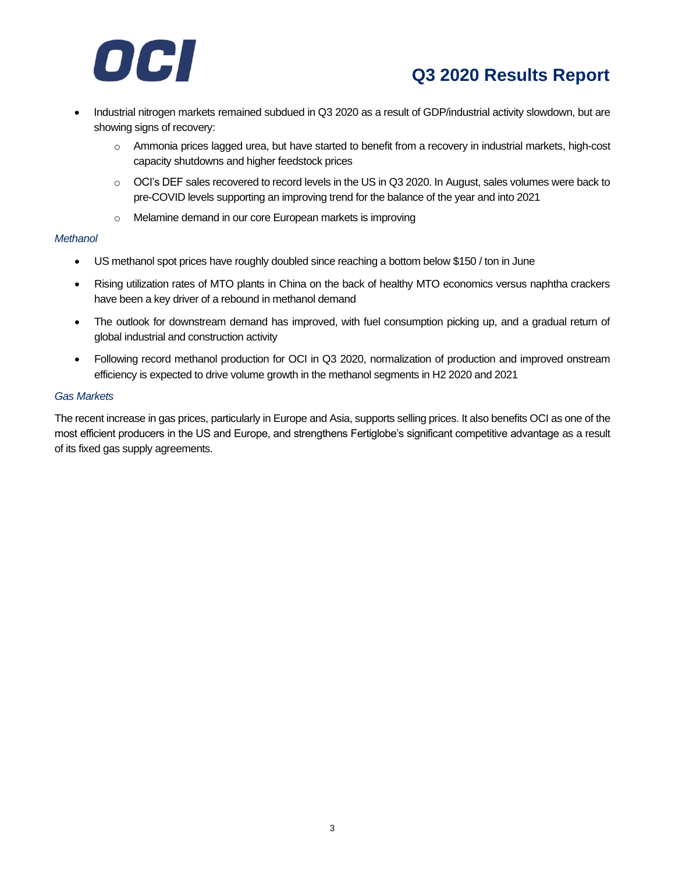

- Industrial nitrogen markets remained subdued in Q3 2020 as a result of GDP/industrial activity slowdown, but are showing signs of recovery:
	- o Ammonia prices lagged urea, but have started to benefit from a recovery in industrial markets, high-cost capacity shutdowns and higher feedstock prices
	- o OCI's DEF sales recovered to record levels in the US in Q3 2020. In August, sales volumes were back to pre-COVID levels supporting an improving trend for the balance of the year and into 2021
	- o Melamine demand in our core European markets is improving

#### *Methanol*

- US methanol spot prices have roughly doubled since reaching a bottom below \$150 / ton in June
- Rising utilization rates of MTO plants in China on the back of healthy MTO economics versus naphtha crackers have been a key driver of a rebound in methanol demand
- The outlook for downstream demand has improved, with fuel consumption picking up, and a gradual return of global industrial and construction activity
- Following record methanol production for OCI in Q3 2020, normalization of production and improved onstream efficiency is expected to drive volume growth in the methanol segments in H2 2020 and 2021

### *Gas Markets*

The recent increase in gas prices, particularly in Europe and Asia, supports selling prices. It also benefits OCI as one of the most efficient producers in the US and Europe, and strengthens Fertiglobe's significant competitive advantage as a result of its fixed gas supply agreements.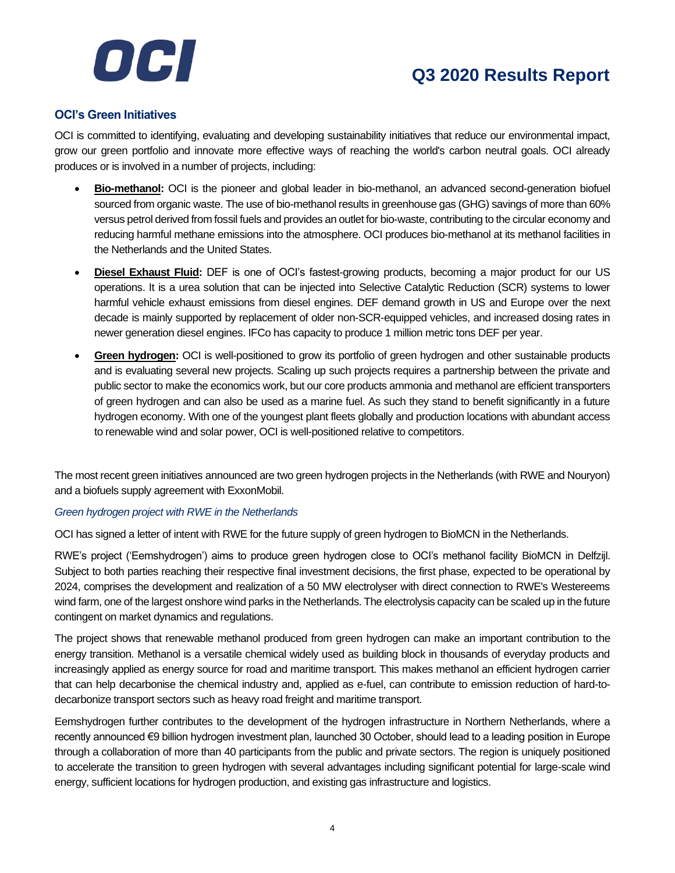

### **OCI's Green Initiatives**

OCI is committed to identifying, evaluating and developing sustainability initiatives that reduce our environmental impact, grow our green portfolio and innovate more effective ways of reaching the world's carbon neutral goals. OCI already produces or is involved in a number of projects, including:

- **Bio-methanol:** OCI is the pioneer and global leader in bio-methanol, an advanced second-generation biofuel sourced from organic waste. The use of bio-methanol results in greenhouse gas (GHG) savings of more than 60% versus petrol derived from fossil fuels and provides an outlet for bio-waste, contributing to the circular economy and reducing harmful methane emissions into the atmosphere. OCI produces bio-methanol at its methanol facilities in the Netherlands and the United States.
- **Diesel Exhaust Fluid:** DEF is one of OCI's fastest-growing products, becoming a major product for our US operations. It is a urea solution that can be injected into Selective Catalytic Reduction (SCR) systems to lower harmful vehicle exhaust emissions from diesel engines. DEF demand growth in US and Europe over the next decade is mainly supported by replacement of older non-SCR-equipped vehicles, and increased dosing rates in newer generation diesel engines. IFCo has capacity to produce 1 million metric tons DEF per year.
- **Green hydrogen:** OCI is well-positioned to grow its portfolio of green hydrogen and other sustainable products and is evaluating several new projects. Scaling up such projects requires a partnership between the private and public sector to make the economics work, but our core products ammonia and methanol are efficient transporters of green hydrogen and can also be used as a marine fuel. As such they stand to benefit significantly in a future hydrogen economy. With one of the youngest plant fleets globally and production locations with abundant access to renewable wind and solar power, OCI is well-positioned relative to competitors.

The most recent green initiatives announced are two green hydrogen projects in the Netherlands (with RWE and Nouryon) and a biofuels supply agreement with ExxonMobil.

### *Green hydrogen project with RWE in the Netherlands*

OCI has signed a letter of intent with RWE for the future supply of green hydrogen to BioMCN in the Netherlands.

RWE's project ('Eemshydrogen') aims to produce green hydrogen close to OCI's methanol facility BioMCN in Delfzijl. Subject to both parties reaching their respective final investment decisions, the first phase, expected to be operational by 2024, comprises the development and realization of a 50 MW electrolyser with direct connection to RWE's Westereems wind farm, one of the largest onshore wind parks in the Netherlands. The electrolysis capacity can be scaled up in the future contingent on market dynamics and regulations.

The project shows that renewable methanol produced from green hydrogen can make an important contribution to the energy transition. Methanol is a versatile chemical widely used as building block in thousands of everyday products and increasingly applied as energy source for road and maritime transport. This makes methanol an efficient hydrogen carrier that can help decarbonise the chemical industry and, applied as e-fuel, can contribute to emission reduction of hard-todecarbonize transport sectors such as heavy road freight and maritime transport.

Eemshydrogen further contributes to the development of the hydrogen infrastructure in Northern Netherlands, where a recently announced €9 billion hydrogen investment plan, launched 30 October, should lead to a leading position in Europe through a collaboration of more than 40 participants from the public and private sectors. The region is uniquely positioned to accelerate the transition to green hydrogen with several advantages including significant potential for large-scale wind energy, sufficient locations for hydrogen production, and existing gas infrastructure and logistics.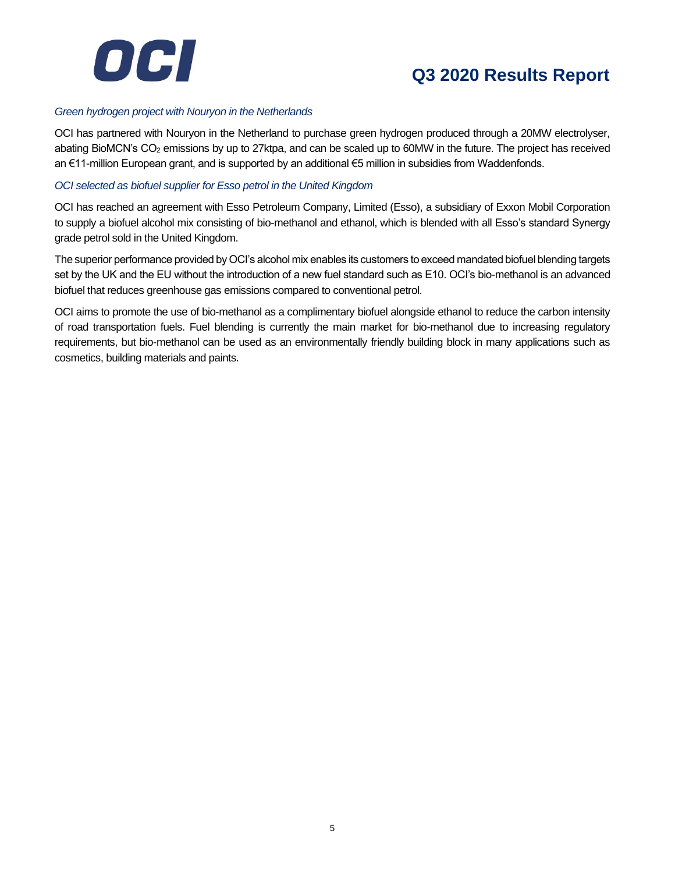

### *Green hydrogen project with Nouryon in the Netherlands*

OCI has partnered with Nouryon in the Netherland to purchase green hydrogen produced through a 20MW electrolyser, abating BioMCN's CO<sup>2</sup> emissions by up to 27ktpa, and can be scaled up to 60MW in the future. The project has received an €11-million European grant, and is supported by an additional €5 million in subsidies from Waddenfonds.

### *OCI selected as biofuel supplier for Esso petrol in the United Kingdom*

OCI has reached an agreement with Esso Petroleum Company, Limited (Esso), a subsidiary of Exxon Mobil Corporation to supply a biofuel alcohol mix consisting of bio-methanol and ethanol, which is blended with all Esso's standard Synergy grade petrol sold in the United Kingdom.

The superior performance provided by OCI's alcohol mix enables its customers to exceed mandated biofuel blending targets set by the UK and the EU without the introduction of a new fuel standard such as E10. OCI's bio-methanol is an advanced biofuel that reduces greenhouse gas emissions compared to conventional petrol.

OCI aims to promote the use of bio-methanol as a complimentary biofuel alongside ethanol to reduce the carbon intensity of road transportation fuels. Fuel blending is currently the main market for bio-methanol due to increasing regulatory requirements, but bio-methanol can be used as an environmentally friendly building block in many applications such as cosmetics, building materials and paints.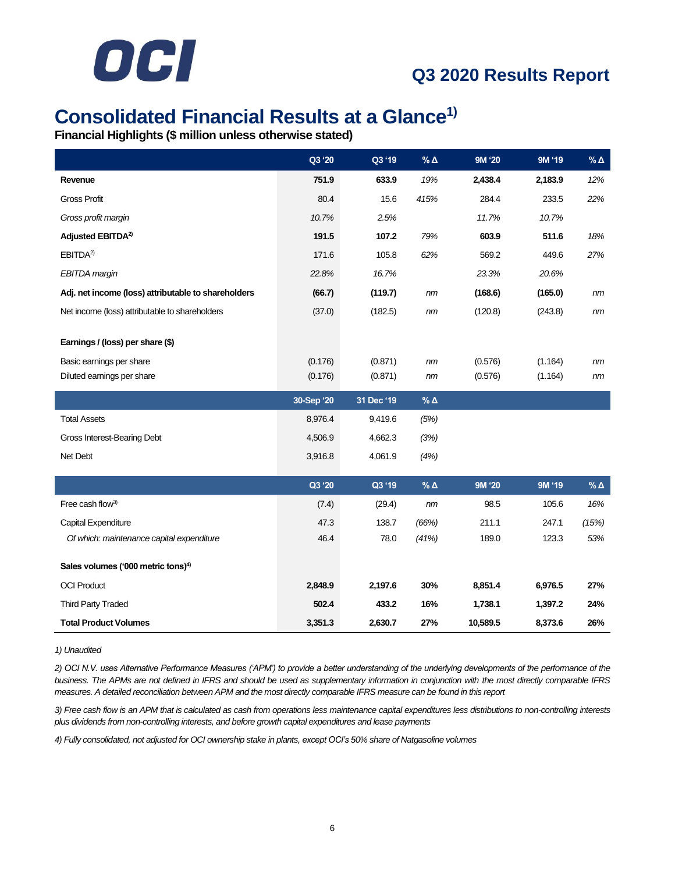

### **Consolidated Financial Results at a Glance1)**

**Financial Highlights (\$ million unless otherwise stated)**

|                                                     | Q3 '20     | Q3 '19     | $% \Delta$    | 9M '20  | 9M '19  | $\%$ $\Delta$ |
|-----------------------------------------------------|------------|------------|---------------|---------|---------|---------------|
| Revenue                                             | 751.9      | 633.9      | 19%           | 2,438.4 | 2,183.9 | 12%           |
| <b>Gross Profit</b>                                 | 80.4       | 15.6       | 415%          | 284.4   | 233.5   | 22%           |
| Gross profit margin                                 | 10.7%      | 2.5%       |               | 11.7%   | 10.7%   |               |
| Adjusted EBITDA <sup>2)</sup>                       | 191.5      | 107.2      | 79%           | 603.9   | 511.6   | 18%           |
| EBITDA <sup>2)</sup>                                | 171.6      | 105.8      | 62%           | 569.2   | 449.6   | 27%           |
| <b>EBITDA</b> margin                                | 22.8%      | 16.7%      |               | 23.3%   | 20.6%   |               |
| Adj. net income (loss) attributable to shareholders | (66.7)     | (119.7)    | nm            | (168.6) | (165.0) | nm            |
| Net income (loss) attributable to shareholders      | (37.0)     | (182.5)    | nm            | (120.8) | (243.8) | nm            |
|                                                     |            |            |               |         |         |               |
| Earnings / (loss) per share (\$)                    |            |            |               |         |         |               |
| Basic earnings per share                            | (0.176)    | (0.871)    | nm            | (0.576) | (1.164) | nm            |
| Diluted earnings per share                          | (0.176)    | (0.871)    | nm            | (0.576) | (1.164) | nm            |
|                                                     |            |            |               |         |         |               |
|                                                     | 30-Sep '20 | 31 Dec '19 | $\%$ $\Delta$ |         |         |               |
| <b>Total Assets</b>                                 | 8,976.4    | 9,419.6    | (5%)          |         |         |               |
| Gross Interest-Bearing Debt                         | 4,506.9    | 4,662.3    | (3%)          |         |         |               |
| Net Debt                                            | 3,916.8    | 4,061.9    | (4%)          |         |         |               |
|                                                     |            |            |               |         |         |               |
|                                                     | Q3 '20     | Q3 '19     | $\%$ $\Delta$ | 9M '20  | 9M '19  | $% \Delta$    |
| Free cash flow <sup>3)</sup>                        | (7.4)      | (29.4)     | nm            | 98.5    | 105.6   | 16%           |
| Capital Expenditure                                 | 47.3       | 138.7      | (66%)         | 211.1   | 247.1   | (15%)         |
| Of which: maintenance capital expenditure           | 46.4       | 78.0       | (41%)         | 189.0   | 123.3   | 53%           |
| Sales volumes ('000 metric tons) <sup>4)</sup>      |            |            |               |         |         |               |
| <b>OCI Product</b>                                  | 2,848.9    | 2,197.6    | 30%           | 8,851.4 | 6,976.5 | 27%           |
| <b>Third Party Traded</b>                           | 502.4      | 433.2      | 16%           | 1,738.1 | 1,397.2 | 24%           |

#### *1) Unaudited*

*2) OCI N.V. uses Alternative Performance Measures ('APM') to provide a better understanding of the underlying developments of the performance of the*  business. The APMs are not defined in IFRS and should be used as supplementary information in conjunction with the most directly comparable IFRS *measures. A detailed reconciliation between APM and the most directly comparable IFRS measure can be found in this report*

*3) Free cash flow is an APM that is calculated as cash from operations less maintenance capital expenditures less distributions to non-controlling interests plus dividends from non-controlling interests, and before growth capital expenditures and lease payments*

*4) Fully consolidated, not adjusted for OCI ownership stake in plants, except OCI's 50% share of Natgasoline volumes*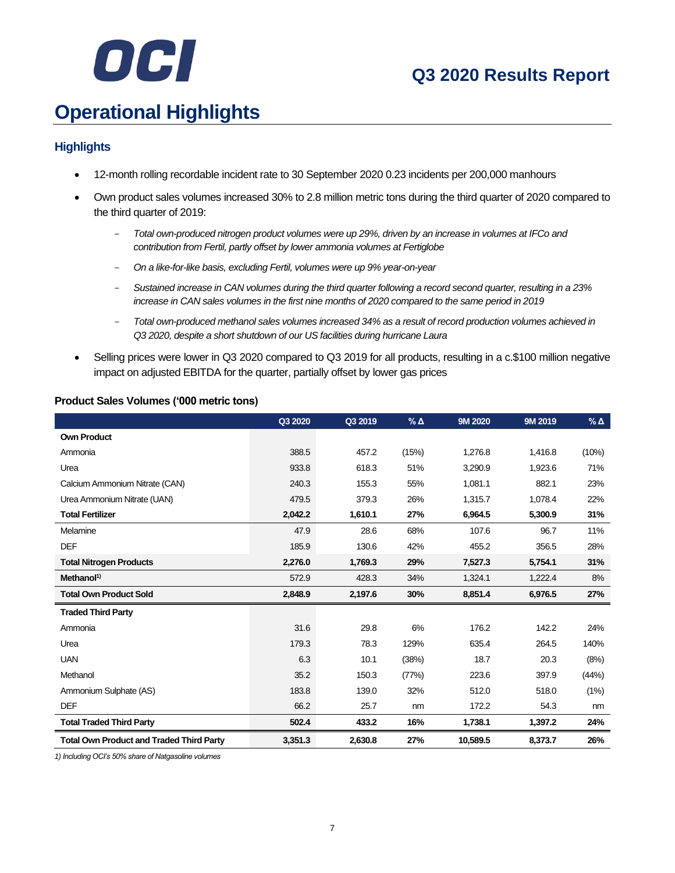# OCI

### **Q3 2020 Results Report**

# **Operational Highlights**

### **Highlights**

- 12-month rolling recordable incident rate to 30 September 2020 0.23 incidents per 200,000 manhours
- Own product sales volumes increased 30% to 2.8 million metric tons during the third quarter of 2020 compared to the third quarter of 2019:
	- *Total own-produced nitrogen product volumes were up 29%, driven by an increase in volumes at IFCo and contribution from Fertil, partly offset by lower ammonia volumes at Fertiglobe*
	- *On a like-for-like basis, excluding Fertil, volumes were up 9% year-on-year*
	- *Sustained increase in CAN volumes during the third quarter following a record second quarter, resulting in a 23% increase in CAN sales volumes in the first nine months of 2020 compared to the same period in 2019*
	- *Total own-produced methanol sales volumes increased 34% as a result of record production volumes achieved in Q3 2020, despite a short shutdown of our US facilities during hurricane Laura*
- Selling prices were lower in Q3 2020 compared to Q3 2019 for all products, resulting in a c.\$100 million negative impact on adjusted EBITDA for the quarter, partially offset by lower gas prices

### **Product Sales Volumes ('000 metric tons)**

|                                                 | Q3 2020 | Q3 2019 | $% \Delta$ | 9M 2020  | 9M 2019 | $%$ $\Delta$ |
|-------------------------------------------------|---------|---------|------------|----------|---------|--------------|
| <b>Own Product</b>                              |         |         |            |          |         |              |
| Ammonia                                         | 388.5   | 457.2   | (15%)      | 1,276.8  | 1,416.8 | (10%)        |
| Urea                                            | 933.8   | 618.3   | 51%        | 3,290.9  | 1,923.6 | 71%          |
| Calcium Ammonium Nitrate (CAN)                  | 240.3   | 155.3   | 55%        | 1,081.1  | 882.1   | 23%          |
| Urea Ammonium Nitrate (UAN)                     | 479.5   | 379.3   | 26%        | 1,315.7  | 1,078.4 | 22%          |
| <b>Total Fertilizer</b>                         | 2,042.2 | 1,610.1 | 27%        | 6,964.5  | 5,300.9 | 31%          |
| Melamine                                        | 47.9    | 28.6    | 68%        | 107.6    | 96.7    | 11%          |
| <b>DEF</b>                                      | 185.9   | 130.6   | 42%        | 455.2    | 356.5   | 28%          |
| <b>Total Nitrogen Products</b>                  | 2.276.0 | 1,769.3 | 29%        | 7,527.3  | 5,754.1 | 31%          |
| Method <sup>1</sup>                             | 572.9   | 428.3   | 34%        | 1,324.1  | 1,222.4 | 8%           |
| <b>Total Own Product Sold</b>                   | 2,848.9 | 2,197.6 | 30%        | 8,851.4  | 6,976.5 | 27%          |
| <b>Traded Third Party</b>                       |         |         |            |          |         |              |
| Ammonia                                         | 31.6    | 29.8    | 6%         | 176.2    | 142.2   | 24%          |
| Urea                                            | 179.3   | 78.3    | 129%       | 635.4    | 264.5   | 140%         |
| <b>UAN</b>                                      | 6.3     | 10.1    | (38%)      | 18.7     | 20.3    | (8%)         |
| Methanol                                        | 35.2    | 150.3   | (77%)      | 223.6    | 397.9   | (44%)        |
| Ammonium Sulphate (AS)                          | 183.8   | 139.0   | 32%        | 512.0    | 518.0   | (1%)         |
| <b>DEF</b>                                      | 66.2    | 25.7    | nm         | 172.2    | 54.3    | nm           |
| <b>Total Traded Third Party</b>                 | 502.4   | 433.2   | 16%        | 1,738.1  | 1,397.2 | 24%          |
| <b>Total Own Product and Traded Third Party</b> | 3,351.3 | 2,630.8 | 27%        | 10,589.5 | 8,373.7 | 26%          |

*1) Including OCI's 50% share of Natgasoline volumes*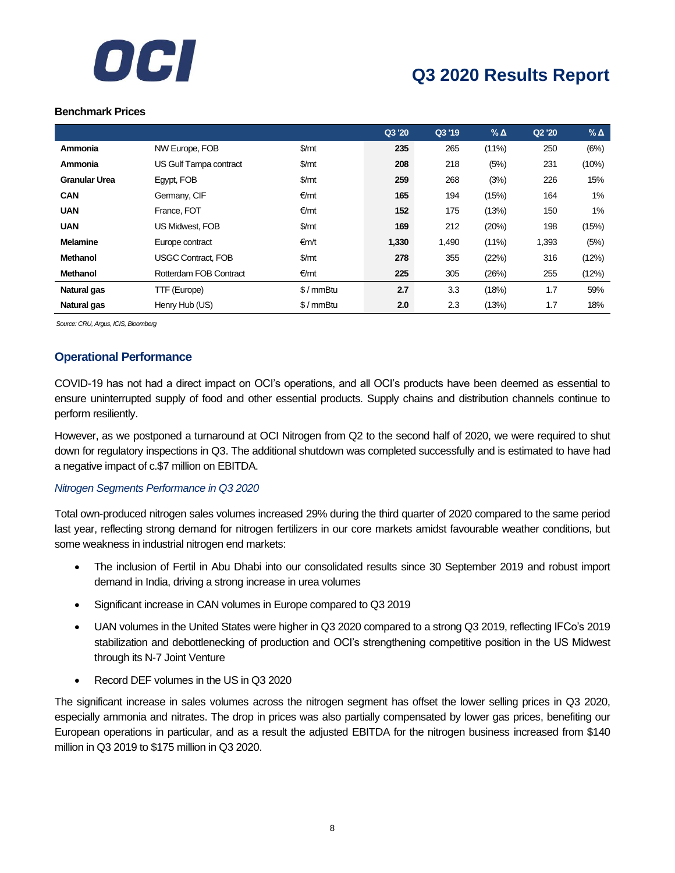

#### **Benchmark Prices**

|                      |                           |            | Q3 '20 | Q3 '19 | $\%$ $\Delta$ | Q2'20 | $%$ $\triangle$ |
|----------------------|---------------------------|------------|--------|--------|---------------|-------|-----------------|
| Ammonia              | NW Europe, FOB            | \$/mt      | 235    | 265    | $(11\%)$      | 250   | (6%)            |
| Ammonia              | US Gulf Tampa contract    | \$/mt      | 208    | 218    | (5%)          | 231   | (10%)           |
| <b>Granular Urea</b> | Egypt, FOB                | \$/mt      | 259    | 268    | (3%)          | 226   | 15%             |
| <b>CAN</b>           | Germany, CIF              | €/mt       | 165    | 194    | (15%)         | 164   | 1%              |
| <b>UAN</b>           | France, FOT               | €/mt       | 152    | 175    | (13%)         | 150   | 1%              |
| <b>UAN</b>           | <b>US Midwest, FOB</b>    | \$/mt      | 169    | 212    | (20%)         | 198   | (15%)           |
| <b>Melamine</b>      | Europe contract           | €m/t       | 1,330  | 1,490  | $(11\%)$      | 1,393 | (5%)            |
| <b>Methanol</b>      | <b>USGC Contract. FOB</b> | \$/mt      | 278    | 355    | (22%)         | 316   | (12%)           |
| <b>Methanol</b>      | Rotterdam FOB Contract    | €/mt       | 225    | 305    | (26%)         | 255   | (12%)           |
| Natural gas          | TTF (Europe)              | $$/mmB$ tu | 2.7    | 3.3    | (18%)         | 1.7   | 59%             |
| Natural gas          | Henry Hub (US)            | $$/mmB$ tu | 2.0    | 2.3    | (13%)         | 1.7   | 18%             |

*Source: CRU, Argus, ICIS, Bloomberg*

### **Operational Performance**

COVID-19 has not had a direct impact on OCI's operations, and all OCI's products have been deemed as essential to ensure uninterrupted supply of food and other essential products. Supply chains and distribution channels continue to perform resiliently.

However, as we postponed a turnaround at OCI Nitrogen from Q2 to the second half of 2020, we were required to shut down for regulatory inspections in Q3. The additional shutdown was completed successfully and is estimated to have had a negative impact of c.\$7 million on EBITDA.

### *Nitrogen Segments Performance in Q3 2020*

Total own-produced nitrogen sales volumes increased 29% during the third quarter of 2020 compared to the same period last year, reflecting strong demand for nitrogen fertilizers in our core markets amidst favourable weather conditions, but some weakness in industrial nitrogen end markets:

- The inclusion of Fertil in Abu Dhabi into our consolidated results since 30 September 2019 and robust import demand in India, driving a strong increase in urea volumes
- Significant increase in CAN volumes in Europe compared to Q3 2019
- UAN volumes in the United States were higher in Q3 2020 compared to a strong Q3 2019, reflecting IFCo's 2019 stabilization and debottlenecking of production and OCI's strengthening competitive position in the US Midwest through its N-7 Joint Venture
- Record DEF volumes in the US in Q3 2020

The significant increase in sales volumes across the nitrogen segment has offset the lower selling prices in Q3 2020, especially ammonia and nitrates. The drop in prices was also partially compensated by lower gas prices, benefiting our European operations in particular, and as a result the adjusted EBITDA for the nitrogen business increased from \$140 million in Q3 2019 to \$175 million in Q3 2020.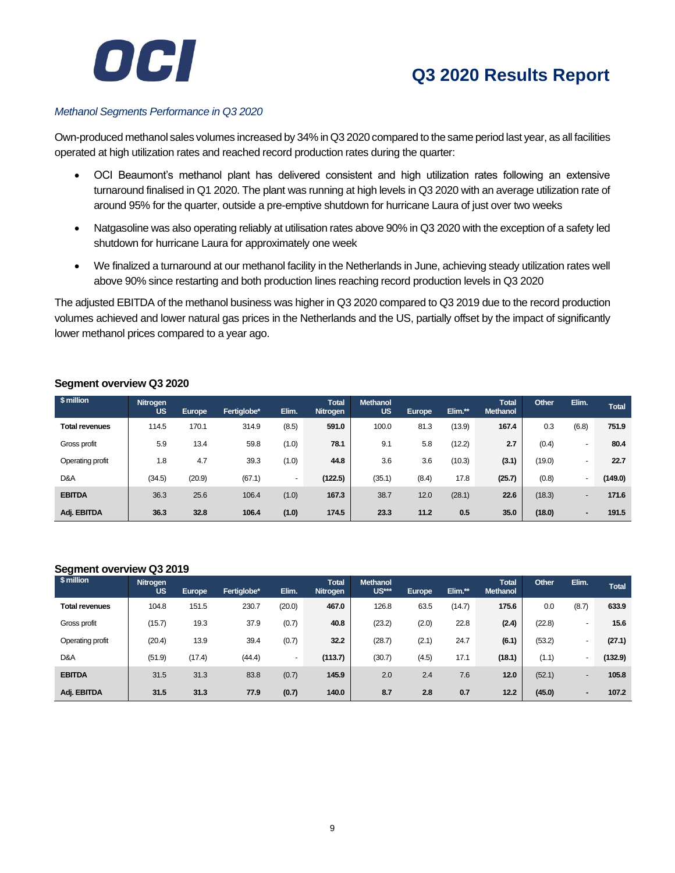

#### *Methanol Segments Performance in Q3 2020*

Own-produced methanol sales volumes increased by 34% in Q3 2020 compared to the same period last year, as all facilities operated at high utilization rates and reached record production rates during the quarter:

- OCI Beaumont's methanol plant has delivered consistent and high utilization rates following an extensive turnaround finalised in Q1 2020. The plant was running at high levels in Q3 2020 with an average utilization rate of around 95% for the quarter, outside a pre-emptive shutdown for hurricane Laura of just over two weeks
- Natgasoline was also operating reliably at utilisation rates above 90% in Q3 2020 with the exception of a safety led shutdown for hurricane Laura for approximately one week
- We finalized a turnaround at our methanol facility in the Netherlands in June, achieving steady utilization rates well above 90% since restarting and both production lines reaching record production levels in Q3 2020

The adjusted EBITDA of the methanol business was higher in Q3 2020 compared to Q3 2019 due to the record production volumes achieved and lower natural gas prices in the Netherlands and the US, partially offset by the impact of significantly lower methanol prices compared to a year ago.

| \$ million            | Nitrogen<br><b>US</b> | <b>Europe</b> | Fertiglobe* | Elim.          | <b>Total</b><br>Nitrogen | <b>Methanol</b><br><b>US</b> | Europe | Elim.** | <b>Total</b><br><b>Methanol</b> | Other  | Elim.                    | <b>Total</b> |
|-----------------------|-----------------------|---------------|-------------|----------------|--------------------------|------------------------------|--------|---------|---------------------------------|--------|--------------------------|--------------|
| <b>Total revenues</b> | 114.5                 | 170.1         | 314.9       | (8.5)          | 591.0                    | 100.0                        | 81.3   | (13.9)  | 167.4                           | 0.3    | (6.8)                    | 751.9        |
| Gross profit          | 5.9                   | 13.4          | 59.8        | (1.0)          | 78.1                     | 9.1                          | 5.8    | (12.2)  | 2.7                             | (0.4)  | $\overline{\phantom{0}}$ | 80.4         |
| Operating profit      | 1.8                   | 4.7           | 39.3        | (1.0)          | 44.8                     | 3.6                          | 3.6    | (10.3)  | (3.1)                           | (19.0) | $\overline{\phantom{0}}$ | 22.7         |
| D&A                   | (34.5)                | (20.9)        | (67.1)      | $\overline{a}$ | (122.5)                  | (35.1)                       | (8.4)  | 17.8    | (25.7)                          | (0.8)  | $\blacksquare$           | (149.0)      |
| <b>EBITDA</b>         | 36.3                  | 25.6          | 106.4       | (1.0)          | 167.3                    | 38.7                         | 12.0   | (28.1)  | 22.6                            | (18.3) | $\overline{\phantom{0}}$ | 171.6        |
| Adj. EBITDA           | 36.3                  | 32.8          | 106.4       | (1.0)          | 174.5                    | 23.3                         | 11.2   | 0.5     | 35.0                            | (18.0) | -                        | 191.5        |

### **Segment overview Q3 2020**

#### **Segment overview Q3 2019**

| . .<br>\$ million     | Nitrogen<br><b>US</b> | Europe | Fertiglobe* | Elim.                    | <b>Total</b><br>Nitrogen | <b>Methanol</b><br>US*** | Europe | Elim.** | <b>Total</b><br><b>Methanol</b> | Other  | Elim.                    | <b>Total</b> |
|-----------------------|-----------------------|--------|-------------|--------------------------|--------------------------|--------------------------|--------|---------|---------------------------------|--------|--------------------------|--------------|
| <b>Total revenues</b> | 104.8                 | 151.5  | 230.7       | (20.0)                   | 467.0                    | 126.8                    | 63.5   | (14.7)  | 175.6                           | 0.0    | (8.7)                    | 633.9        |
| Gross profit          | (15.7)                | 19.3   | 37.9        | (0.7)                    | 40.8                     | (23.2)                   | (2.0)  | 22.8    | (2.4)                           | (22.8) |                          | 15.6         |
| Operating profit      | (20.4)                | 13.9   | 39.4        | (0.7)                    | 32.2                     | (28.7)                   | (2.1)  | 24.7    | (6.1)                           | (53.2) | $\overline{\phantom{0}}$ | (27.1)       |
| D&A                   | (51.9)                | (17.4) | (44.4)      | $\overline{\phantom{0}}$ | (113.7)                  | (30.7)                   | (4.5)  | 17.1    | (18.1)                          | (1.1)  | $\overline{\phantom{0}}$ | (132.9)      |
| <b>EBITDA</b>         | 31.5                  | 31.3   | 83.8        | (0.7)                    | 145.9                    | 2.0                      | 2.4    | 7.6     | 12.0                            | (52.1) | -                        | 105.8        |
| Adj. EBITDA           | 31.5                  | 31.3   | 77.9        | (0.7)                    | 140.0                    | 8.7                      | 2.8    | 0.7     | 12.2                            | (45.0) | $\overline{\phantom{0}}$ | 107.2        |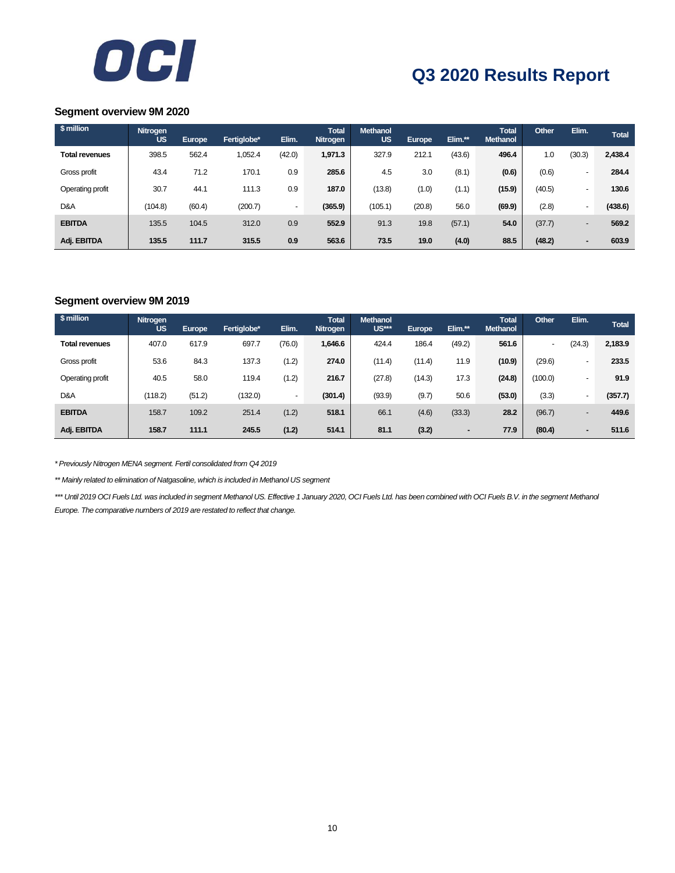

### **Segment overview 9M 2020**

| \$ million            | Nitrogen<br><b>US</b> | Europe | Fertiglobe* | Elim.                    | <b>Total</b><br><b>Nitrogen</b> | <b>Methanol</b><br><b>US</b> | <b>Europe</b> | Elim.** | <b>Total</b><br><b>Methanol</b> | Other  | Elim.                    | <b>Total</b> |
|-----------------------|-----------------------|--------|-------------|--------------------------|---------------------------------|------------------------------|---------------|---------|---------------------------------|--------|--------------------------|--------------|
| <b>Total revenues</b> | 398.5                 | 562.4  | 1,052.4     | (42.0)                   | 1,971.3                         | 327.9                        | 212.1         | (43.6)  | 496.4                           | 1.0    | (30.3)                   | 2,438.4      |
| Gross profit          | 43.4                  | 71.2   | 170.1       | 0.9                      | 285.6                           | 4.5                          | 3.0           | (8.1)   | (0.6)                           | (0.6)  | $\overline{\phantom{0}}$ | 284.4        |
| Operating profit      | 30.7                  | 44.1   | 111.3       | 0.9                      | 187.0                           | (13.8)                       | (1.0)         | (1.1)   | (15.9)                          | (40.5) | $\overline{\phantom{0}}$ | 130.6        |
| D&A                   | (104.8)               | (60.4) | (200.7)     | $\overline{\phantom{0}}$ | (365.9)                         | (105.1)                      | (20.8)        | 56.0    | (69.9)                          | (2.8)  | $\overline{\phantom{a}}$ | (438.6)      |
| <b>EBITDA</b>         | 135.5                 | 104.5  | 312.0       | 0.9                      | 552.9                           | 91.3                         | 19.8          | (57.1)  | 54.0                            | (37.7) | $\overline{\phantom{a}}$ | 569.2        |
| Adj. EBITDA           | 135.5                 | 111.7  | 315.5       | 0.9                      | 563.6                           | 73.5                         | 19.0          | (4.0)   | 88.5                            | (48.2) | $\blacksquare$           | 603.9        |

### **Segment overview 9M 2019**

| \$ million            | Nitrogen<br><b>US</b> | <b>Europe</b> | Fertiglobe* | Elim.                    | <b>Total</b><br><b>Nitrogen</b> | <b>Methanol</b><br>US*** | <b>Europe</b> | Elim.**        | <b>Total</b><br><b>Methanol</b> | Other                    | Elim.                    | <b>Total</b> |
|-----------------------|-----------------------|---------------|-------------|--------------------------|---------------------------------|--------------------------|---------------|----------------|---------------------------------|--------------------------|--------------------------|--------------|
| <b>Total revenues</b> | 407.0                 | 617.9         | 697.7       | (76.0)                   | 1,646.6                         | 424.4                    | 186.4         | (49.2)         | 561.6                           | $\overline{\phantom{0}}$ | (24.3)                   | 2,183.9      |
| Gross profit          | 53.6                  | 84.3          | 137.3       | (1.2)                    | 274.0                           | (11.4)                   | (11.4)        | 11.9           | (10.9)                          | (29.6)                   | $\overline{\phantom{a}}$ | 233.5        |
| Operating profit      | 40.5                  | 58.0          | 119.4       | (1.2)                    | 216.7                           | (27.8)                   | (14.3)        | 17.3           | (24.8)                          | (100.0)                  | $\overline{\phantom{0}}$ | 91.9         |
| D&A                   | (118.2)               | (51.2)        | (132.0)     | $\overline{\phantom{0}}$ | (301.4)                         | (93.9)                   | (9.7)         | 50.6           | (53.0)                          | (3.3)                    | $\overline{\phantom{a}}$ | (357.7)      |
| <b>EBITDA</b>         | 158.7                 | 109.2         | 251.4       | (1.2)                    | 518.1                           | 66.1                     | (4.6)         | (33.3)         | 28.2                            | (96.7)                   | $\overline{\phantom{0}}$ | 449.6        |
| Adj. EBITDA           | 158.7                 | 111.1         | 245.5       | (1.2)                    | 514.1                           | 81.1                     | (3.2)         | $\blacksquare$ | 77.9                            | (80.4)                   | $\blacksquare$           | 511.6        |

*\* Previously Nitrogen MENA segment. Fertil consolidated from Q4 2019*

*\*\* Mainly related to elimination of Natgasoline, which is included in Methanol US segment*

\*\*\* Until 2019 OCI Fuels Ltd. was included in segment Methanol US. Effective 1 January 2020, OCI Fuels Ltd. has been combined with OCI Fuels B.V. in the segment Methanol *Europe. The comparative numbers of 2019 are restated to reflect that change.*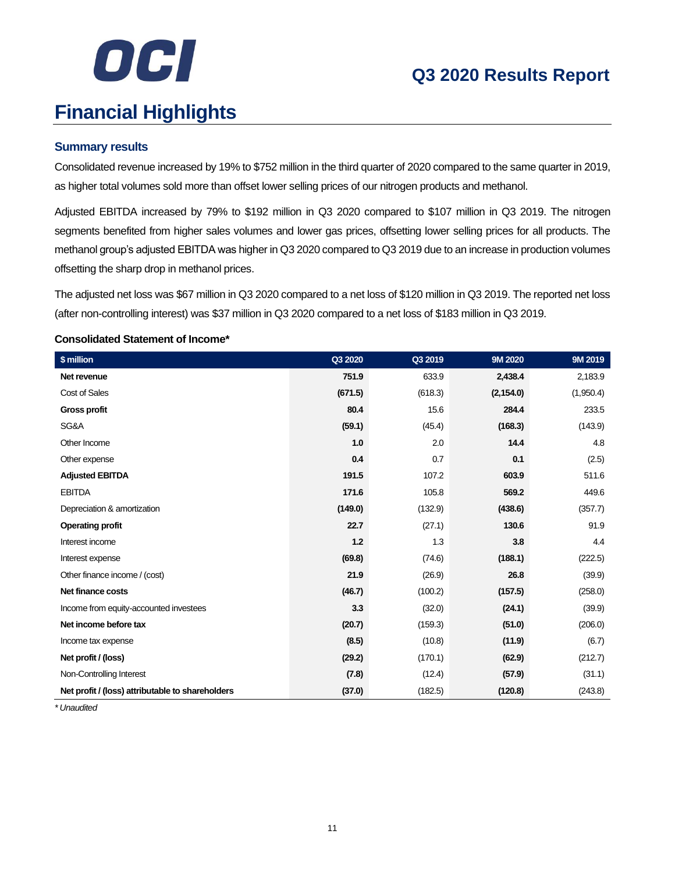

# **Financial Highlights**

### **Summary results**

Consolidated revenue increased by 19% to \$752 million in the third quarter of 2020 compared to the same quarter in 2019, as higher total volumes sold more than offset lower selling prices of our nitrogen products and methanol.

Adjusted EBITDA increased by 79% to \$192 million in Q3 2020 compared to \$107 million in Q3 2019. The nitrogen segments benefited from higher sales volumes and lower gas prices, offsetting lower selling prices for all products. The methanol group's adjusted EBITDA was higher in Q3 2020 compared to Q3 2019 due to an increase in production volumes offsetting the sharp drop in methanol prices.

The adjusted net loss was \$67 million in Q3 2020 compared to a net loss of \$120 million in Q3 2019. The reported net loss (after non-controlling interest) was \$37 million in Q3 2020 compared to a net loss of \$183 million in Q3 2019.

### **Consolidated Statement of Income\***

| \$ million                                       | Q3 2020 | Q3 2019 | 9M 2020    | 9M 2019   |
|--------------------------------------------------|---------|---------|------------|-----------|
| Net revenue                                      | 751.9   | 633.9   | 2,438.4    | 2,183.9   |
| Cost of Sales                                    | (671.5) | (618.3) | (2, 154.0) | (1,950.4) |
| <b>Gross profit</b>                              | 80.4    | 15.6    | 284.4      | 233.5     |
| SG&A                                             | (59.1)  | (45.4)  | (168.3)    | (143.9)   |
| Other Income                                     | 1.0     | 2.0     | 14.4       | 4.8       |
| Other expense                                    | 0.4     | 0.7     | 0.1        | (2.5)     |
| <b>Adjusted EBITDA</b>                           | 191.5   | 107.2   | 603.9      | 511.6     |
| <b>EBITDA</b>                                    | 171.6   | 105.8   | 569.2      | 449.6     |
| Depreciation & amortization                      | (149.0) | (132.9) | (438.6)    | (357.7)   |
| <b>Operating profit</b>                          | 22.7    | (27.1)  | 130.6      | 91.9      |
| Interest income                                  | 1.2     | 1.3     | 3.8        | 4.4       |
| Interest expense                                 | (69.8)  | (74.6)  | (188.1)    | (222.5)   |
| Other finance income / (cost)                    | 21.9    | (26.9)  | 26.8       | (39.9)    |
| Net finance costs                                | (46.7)  | (100.2) | (157.5)    | (258.0)   |
| Income from equity-accounted investees           | 3.3     | (32.0)  | (24.1)     | (39.9)    |
| Net income before tax                            | (20.7)  | (159.3) | (51.0)     | (206.0)   |
| Income tax expense                               | (8.5)   | (10.8)  | (11.9)     | (6.7)     |
| Net profit / (loss)                              | (29.2)  | (170.1) | (62.9)     | (212.7)   |
| Non-Controlling Interest                         | (7.8)   | (12.4)  | (57.9)     | (31.1)    |
| Net profit / (loss) attributable to shareholders | (37.0)  | (182.5) | (120.8)    | (243.8)   |

*\* Unaudited*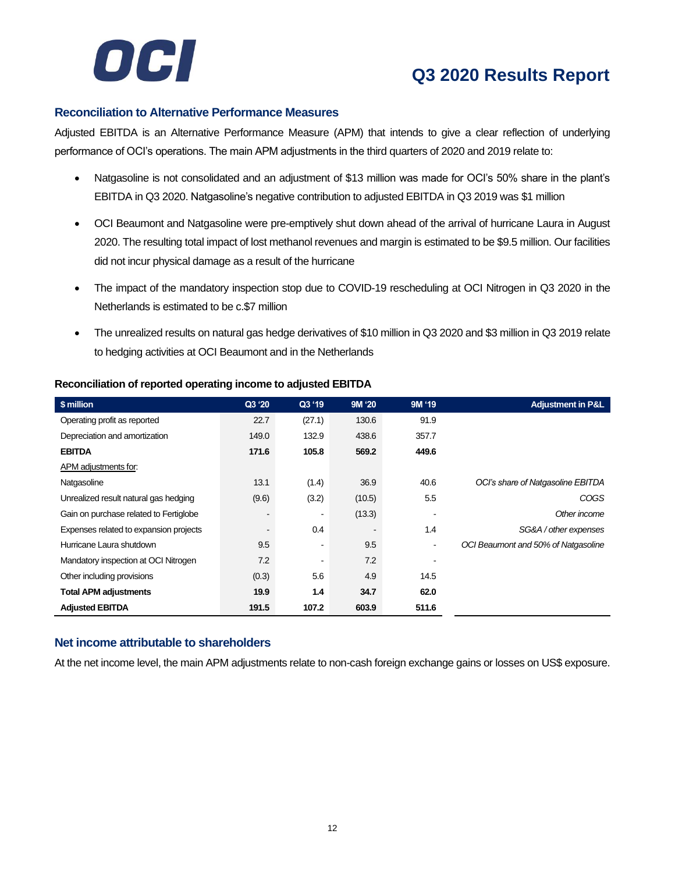

### **Reconciliation to Alternative Performance Measures**

Adjusted EBITDA is an Alternative Performance Measure (APM) that intends to give a clear reflection of underlying performance of OCI's operations. The main APM adjustments in the third quarters of 2020 and 2019 relate to:

- Natgasoline is not consolidated and an adjustment of \$13 million was made for OCI's 50% share in the plant's EBITDA in Q3 2020. Natgasoline's negative contribution to adjusted EBITDA in Q3 2019 was \$1 million
- OCI Beaumont and Natgasoline were pre-emptively shut down ahead of the arrival of hurricane Laura in August 2020. The resulting total impact of lost methanol revenues and margin is estimated to be \$9.5 million. Our facilities did not incur physical damage as a result of the hurricane
- The impact of the mandatory inspection stop due to COVID-19 rescheduling at OCI Nitrogen in Q3 2020 in the Netherlands is estimated to be c.\$7 million
- The unrealized results on natural gas hedge derivatives of \$10 million in Q3 2020 and \$3 million in Q3 2019 relate to hedging activities at OCI Beaumont and in the Netherlands

| \$ million                             | Q3 '20                   | Q3 '19 | 9M '20 | 9M '19 | <b>Adjustment in P&amp;L</b>        |
|----------------------------------------|--------------------------|--------|--------|--------|-------------------------------------|
| Operating profit as reported           | 22.7                     | (27.1) | 130.6  | 91.9   |                                     |
| Depreciation and amortization          | 149.0                    | 132.9  | 438.6  | 357.7  |                                     |
| <b>EBITDA</b>                          | 171.6                    | 105.8  | 569.2  | 449.6  |                                     |
| APM adjustments for:                   |                          |        |        |        |                                     |
| Natgasoline                            | 13.1                     | (1.4)  | 36.9   | 40.6   | OCI's share of Natgasoline EBITDA   |
| Unrealized result natural gas hedging  | (9.6)                    | (3.2)  | (10.5) | 5.5    | COGS                                |
| Gain on purchase related to Fertiglobe | $\overline{\phantom{a}}$ | ۰      | (13.3) | ٠      | Other income                        |
| Expenses related to expansion projects | $\overline{\phantom{a}}$ | 0.4    |        | 1.4    | SG&A / other expenses               |
| Hurricane Laura shutdown               | 9.5                      | ٠      | 9.5    | ٠      | OCI Beaumont and 50% of Natgasoline |
| Mandatory inspection at OCI Nitrogen   | 7.2                      | ۰      | 7.2    |        |                                     |
| Other including provisions             | (0.3)                    | 5.6    | 4.9    | 14.5   |                                     |
| <b>Total APM adjustments</b>           | 19.9                     | 1.4    | 34.7   | 62.0   |                                     |
| <b>Adjusted EBITDA</b>                 | 191.5                    | 107.2  | 603.9  | 511.6  |                                     |

### **Reconciliation of reported operating income to adjusted EBITDA**

### **Net income attributable to shareholders**

At the net income level, the main APM adjustments relate to non-cash foreign exchange gains or losses on US\$ exposure.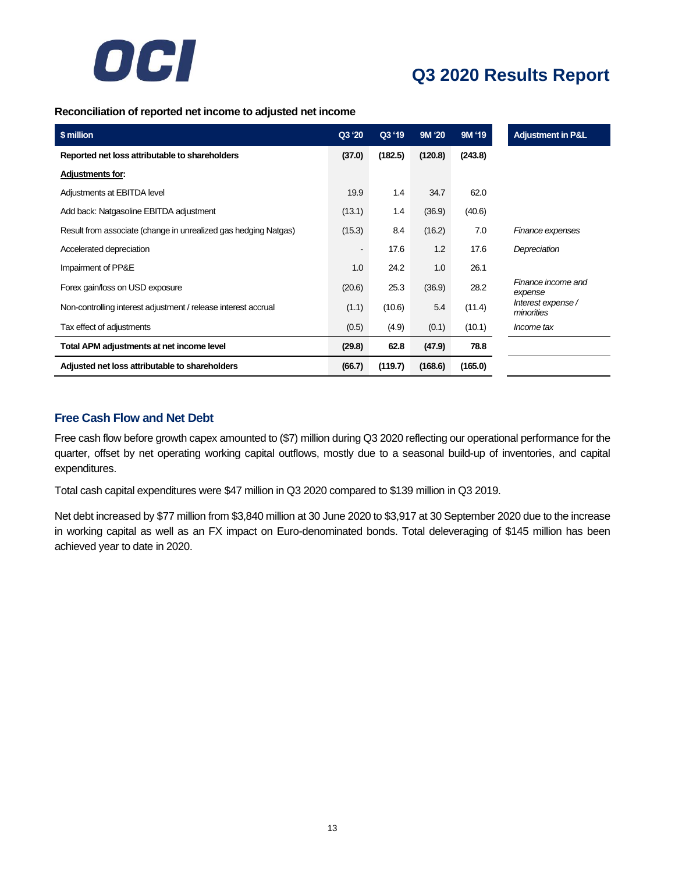

### **Reconciliation of reported net income to adjusted net income**

| \$ million                                                      | Q3 '20 | Q3 '19  | 9M '20  | 9M '19  | <b>Adjustment in P&amp;L</b>    |
|-----------------------------------------------------------------|--------|---------|---------|---------|---------------------------------|
| Reported net loss attributable to shareholders                  | (37.0) | (182.5) | (120.8) | (243.8) |                                 |
| Adjustments for:                                                |        |         |         |         |                                 |
| Adjustments at EBITDA level                                     | 19.9   | 1.4     | 34.7    | 62.0    |                                 |
| Add back: Natgasoline EBITDA adjustment                         | (13.1) | 1.4     | (36.9)  | (40.6)  |                                 |
| Result from associate (change in unrealized gas hedging Natgas) | (15.3) | 8.4     | (16.2)  | 7.0     | Finance expenses                |
| Accelerated depreciation                                        |        | 17.6    | 1.2     | 17.6    | Depreciation                    |
| Impairment of PP&E                                              | 1.0    | 24.2    | 1.0     | 26.1    |                                 |
| Forex gain/loss on USD exposure                                 | (20.6) | 25.3    | (36.9)  | 28.2    | Finance income and<br>expense   |
| Non-controlling interest adjustment / release interest accrual  | (1.1)  | (10.6)  | 5.4     | (11.4)  | Interest expense/<br>minorities |
| Tax effect of adjustments                                       | (0.5)  | (4.9)   | (0.1)   | (10.1)  | <i>Income tax</i>               |
| Total APM adjustments at net income level                       | (29.8) | 62.8    | (47.9)  | 78.8    |                                 |
| Adjusted net loss attributable to shareholders                  | (66.7) | (119.7) | (168.6) | (165.0) |                                 |

### **Free Cash Flow and Net Debt**

Free cash flow before growth capex amounted to (\$7) million during Q3 2020 reflecting our operational performance for the quarter, offset by net operating working capital outflows, mostly due to a seasonal build-up of inventories, and capital expenditures.

Total cash capital expenditures were \$47 million in Q3 2020 compared to \$139 million in Q3 2019.

Net debt increased by \$77 million from \$3,840 million at 30 June 2020 to \$3,917 at 30 September 2020 due to the increase in working capital as well as an FX impact on Euro-denominated bonds. Total deleveraging of \$145 million has been achieved year to date in 2020.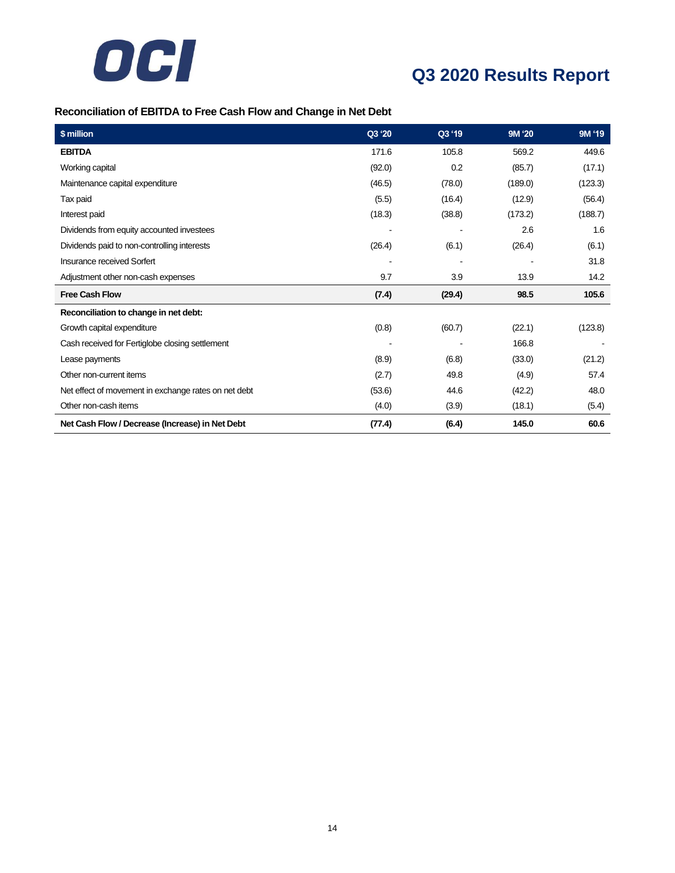

### **Reconciliation of EBITDA to Free Cash Flow and Change in Net Debt**

| $\sqrt{\$$ million                                   | Q3 '20 | Q3 '19 | 9M '20  | 9M '19  |
|------------------------------------------------------|--------|--------|---------|---------|
| <b>EBITDA</b>                                        | 171.6  | 105.8  | 569.2   | 449.6   |
| Working capital                                      | (92.0) | 0.2    | (85.7)  | (17.1)  |
| Maintenance capital expenditure                      | (46.5) | (78.0) | (189.0) | (123.3) |
| Tax paid                                             | (5.5)  | (16.4) | (12.9)  | (56.4)  |
| Interest paid                                        | (18.3) | (38.8) | (173.2) | (188.7) |
| Dividends from equity accounted investees            |        |        | 2.6     | 1.6     |
| Dividends paid to non-controlling interests          | (26.4) | (6.1)  | (26.4)  | (6.1)   |
| Insurance received Sorfert                           |        |        |         | 31.8    |
| Adjustment other non-cash expenses                   | 9.7    | 3.9    | 13.9    | 14.2    |
| <b>Free Cash Flow</b>                                | (7.4)  | (29.4) | 98.5    | 105.6   |
| Reconciliation to change in net debt:                |        |        |         |         |
| Growth capital expenditure                           | (0.8)  | (60.7) | (22.1)  | (123.8) |
| Cash received for Fertiglobe closing settlement      |        |        | 166.8   |         |
| Lease payments                                       | (8.9)  | (6.8)  | (33.0)  | (21.2)  |
| Other non-current items                              | (2.7)  | 49.8   | (4.9)   | 57.4    |
| Net effect of movement in exchange rates on net debt | (53.6) | 44.6   | (42.2)  | 48.0    |
| Other non-cash items                                 | (4.0)  | (3.9)  | (18.1)  | (5.4)   |
| Net Cash Flow / Decrease (Increase) in Net Debt      | (77.4) | (6.4)  | 145.0   | 60.6    |